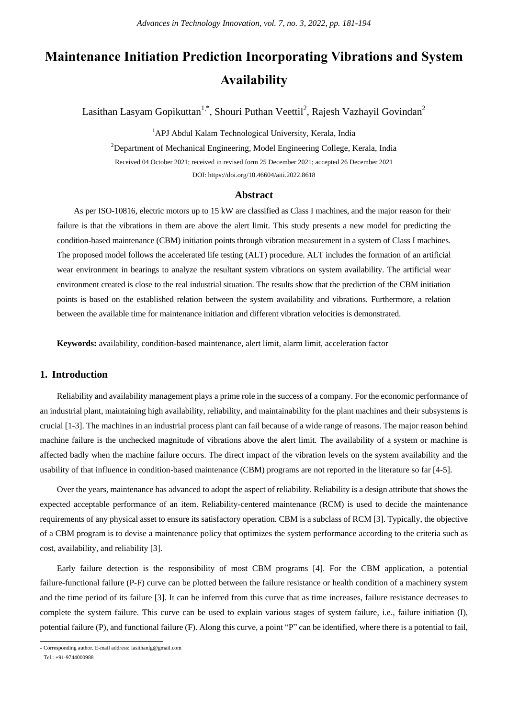# **Maintenance Initiation Prediction Incorporating Vibrations and System Availability**

Lasithan Lasyam Gopikuttan<sup>1,\*</sup>, Shouri Puthan Veettil<sup>2</sup>, Rajesh Vazhayil Govindan<sup>2</sup>

<sup>1</sup>APJ Abdul Kalam Technological University, Kerala, India

<sup>2</sup>Department of Mechanical Engineering, Model Engineering College, Kerala, India Received 04 October 2021; received in revised form 25 December 2021; accepted 26 December 2021 DOI: https://doi.org/10.46604/aiti.2022.8618

#### **Abstract**

As per ISO-10816, electric motors up to 15 kW are classified as Class I machines, and the major reason for their failure is that the vibrations in them are above the alert limit. This study presents a new model for predicting the condition-based maintenance (CBM) initiation points through vibration measurement in a system of Class I machines. The proposed model follows the accelerated life testing (ALT) procedure. ALT includes the formation of an artificial wear environment in bearings to analyze the resultant system vibrations on system availability. The artificial wear environment created is close to the real industrial situation. The results show that the prediction of the CBM initiation points is based on the established relation between the system availability and vibrations. Furthermore, a relation between the available time for maintenance initiation and different vibration velocities is demonstrated.

**Keywords:** availability, condition-based maintenance, alert limit, alarm limit, acceleration factor

# **1. Introduction**

Reliability and availability management plays a prime role in the success of a company. For the economic performance of an industrial plant, maintaining high availability, reliability, and maintainability for the plant machines and their subsystems is crucial [1-3]. The machines in an industrial process plant can fail because of a wide range of reasons. The major reason behind machine failure is the unchecked magnitude of vibrations above the alert limit. The availability of a system or machine is affected badly when the machine failure occurs. The direct impact of the vibration levels on the system availability and the usability of that influence in condition-based maintenance (CBM) programs are not reported in the literature so far [4-5].

Over the years, maintenance has advanced to adopt the aspect of reliability. Reliability is a design attribute that shows the expected acceptable performance of an item. Reliability-centered maintenance (RCM) is used to decide the maintenance requirements of any physical asset to ensure its satisfactory operation. CBM is a subclass of RCM [3]. Typically, the objective of a CBM program is to devise a maintenance policy that optimizes the system performance according to the criteria such as cost, availability, and reliability [3].

Early failure detection is the responsibility of most CBM programs [4]. For the CBM application, a potential failure-functional failure (P-F) curve can be plotted between the failure resistance or health condition of a machinery system and the time period of its failure [3]. It can be inferred from this curve that as time increases, failure resistance decreases to complete the system failure. This curve can be used to explain various stages of system failure, i.e., failure initiation (I), potential failure (P), and functional failure (F). Along this curve, a point "P" can be identified, where there is a potential to fail,

 \* Corresponding author. E-mail address: lasithanlg@gmail.com

Tel.: +91-9744000988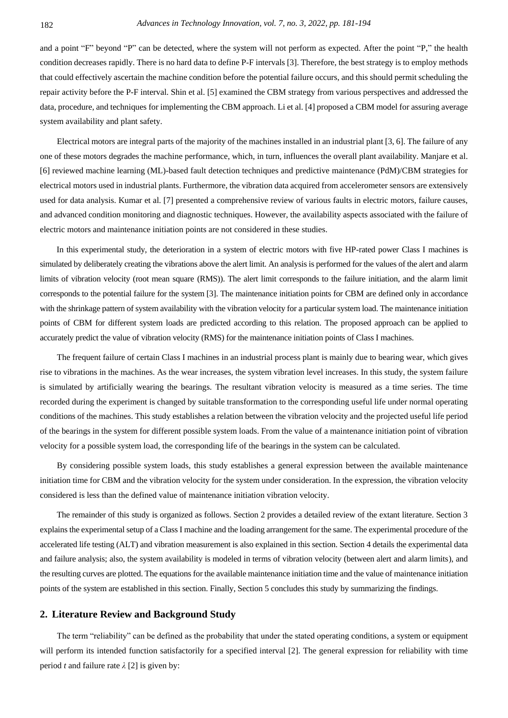and a point "F" beyond "P" can be detected, where the system will not perform as expected. After the point "P," the health condition decreases rapidly. There is no hard data to define P-F intervals [3]. Therefore, the best strategy is to employ methods that could effectively ascertain the machine condition before the potential failure occurs, and this should permit scheduling the repair activity before the P-F interval. Shin et al. [5] examined the CBM strategy from various perspectives and addressed the data, procedure, and techniques for implementing the CBM approach. Li et al. [4] proposed a CBM model for assuring average system availability and plant safety.

Electrical motors are integral parts of the majority of the machines installed in an industrial plant [3, 6]. The failure of any one of these motors degrades the machine performance, which, in turn, influences the overall plant availability. Manjare et al. [6] reviewed machine learning (ML)-based fault detection techniques and predictive maintenance (PdM)/CBM strategies for electrical motors used in industrial plants. Furthermore, the vibration data acquired from accelerometer sensors are extensively used for data analysis. Kumar et al. [7] presented a comprehensive review of various faults in electric motors, failure causes, and advanced condition monitoring and diagnostic techniques. However, the availability aspects associated with the failure of electric motors and maintenance initiation points are not considered in these studies.

In this experimental study, the deterioration in a system of electric motors with five HP-rated power Class I machines is simulated by deliberately creating the vibrations above the alert limit. An analysis is performed for the values of the alert and alarm limits of vibration velocity (root mean square (RMS)). The alert limit corresponds to the failure initiation, and the alarm limit corresponds to the potential failure for the system [3]. The maintenance initiation points for CBM are defined only in accordance with the shrinkage pattern of system availability with the vibration velocity for a particular system load. The maintenance initiation points of CBM for different system loads are predicted according to this relation. The proposed approach can be applied to accurately predict the value of vibration velocity (RMS) for the maintenance initiation points of Class I machines.

The frequent failure of certain Class I machines in an industrial process plant is mainly due to bearing wear, which gives rise to vibrations in the machines. As the wear increases, the system vibration level increases. In this study, the system failure is simulated by artificially wearing the bearings. The resultant vibration velocity is measured as a time series. The time recorded during the experiment is changed by suitable transformation to the corresponding useful life under normal operating conditions of the machines. This study establishes a relation between the vibration velocity and the projected useful life period of the bearings in the system for different possible system loads. From the value of a maintenance initiation point of vibration velocity for a possible system load, the corresponding life of the bearings in the system can be calculated.

By considering possible system loads, this study establishes a general expression between the available maintenance initiation time for CBM and the vibration velocity for the system under consideration. In the expression, the vibration velocity considered is less than the defined value of maintenance initiation vibration velocity.

The remainder of this study is organized as follows. Section 2 provides a detailed review of the extant literature. Section 3 explains the experimental setup of a Class I machine and the loading arrangement for the same. The experimental procedure of the accelerated life testing (ALT) and vibration measurement is also explained in this section. Section 4 details the experimental data and failure analysis; also, the system availability is modeled in terms of vibration velocity (between alert and alarm limits), and the resulting curves are plotted. The equations for the available maintenance initiation time and the value of maintenance initiation points of the system are established in this section. Finally, Section 5 concludes this study by summarizing the findings.

## **2. Literature Review and Background Study**

The term "reliability" can be defined as the probability that under the stated operating conditions, a system or equipment will perform its intended function satisfactorily for a specified interval [2]. The general expression for reliability with time period *t* and failure rate  $\lambda$  [2] is given by: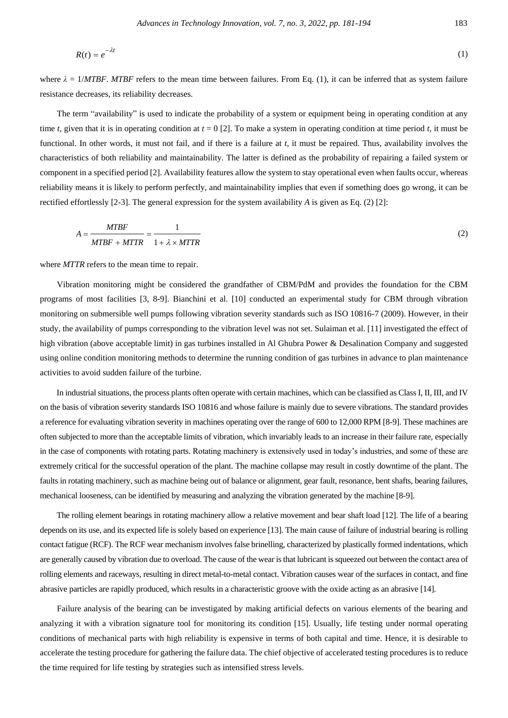$$
R(t) = e^{-\lambda t} \tag{1}
$$

where  $\lambda = 1/MTBF$ . *MTBF* refers to the mean time between failures. From Eq. (1), it can be inferred that as system failure resistance decreases, its reliability decreases.

The term "availability" is used to indicate the probability of a system or equipment being in operating condition at any time *t*, given that it is in operating condition at  $t = 0$  [2]. To make a system in operating condition at time period *t*, it must be functional. In other words, it must not fail, and if there is a failure at *t*, it must be repaired. Thus, availability involves the characteristics of both reliability and maintainability. The latter is defined as the probability of repairing a failed system or component in a specified period [2]. Availability features allow the system to stay operational even when faults occur, whereas reliability means it is likely to perform perfectly, and maintainability implies that even if something does go wrong, it can be rectified effortlessly [2-3]. The general expression for the system availability *A* is given as Eq. (2) [2]:

$$
A = \frac{MTBF}{MTBF + MTTR} = \frac{1}{1 + \lambda \times MTTR}
$$
\n<sup>(2)</sup>

where *MTTR* refers to the mean time to repair.

Vibration monitoring might be considered the grandfather of CBM/PdM and provides the foundation for the CBM programs of most facilities [3, 8-9]. Bianchini et al. [10] conducted an experimental study for CBM through vibration monitoring on submersible well pumps following vibration severity standards such as ISO 10816-7 (2009). However, in their study, the availability of pumps corresponding to the vibration level was not set. Sulaiman et al. [11] investigated the effect of high vibration (above acceptable limit) in gas turbines installed in Al Ghubra Power & Desalination Company and suggested using online condition monitoring methods to determine the running condition of gas turbines in advance to plan maintenance activities to avoid sudden failure of the turbine.

In industrial situations, the process plants often operate with certain machines, which can be classified as Class I, II, III, and IV on the basis of vibration severity standards ISO 10816 and whose failure is mainly due to severe vibrations. The standard provides a reference for evaluating vibration severity in machines operating over the range of 600 to 12,000 RPM [8-9]. These machines are often subjected to more than the acceptable limits of vibration, which invariably leads to an increase in their failure rate, especially in the case of components with rotating parts. Rotating machinery is extensively used in today's industries, and some of these are extremely critical for the successful operation of the plant. The machine collapse may result in costly downtime of the plant. The faults in rotating machinery, such as machine being out of balance or alignment, gear fault, resonance, bent shafts, bearing failures, mechanical looseness, can be identified by measuring and analyzing the vibration generated by the machine [8-9].

The rolling element bearings in rotating machinery allow a relative movement and bear shaft load [12]. The life of a bearing depends on its use, and its expected life is solely based on experience [13]. The main cause of failure of industrial bearing is rolling contact fatigue (RCF). The RCF wear mechanism involves false brinelling, characterized by plastically formed indentations, which are generally caused by vibration due to overload. The cause of the wear is that lubricant is squeezed out between the contact area of rolling elements and raceways, resulting in direct metal-to-metal contact. Vibration causes wear of the surfaces in contact, and fine abrasive particles are rapidly produced, which results in a characteristic groove with the oxide acting as an abrasive [14].

Failure analysis of the bearing can be investigated by making artificial defects on various elements of the bearing and analyzing it with a vibration signature tool for monitoring its condition [15]. Usually, life testing under normal operating conditions of mechanical parts with high reliability is expensive in terms of both capital and time. Hence, it is desirable to accelerate the testing procedure for gathering the failure data. The chief objective of accelerated testing procedures is to reduce the time required for life testing by strategies such as intensified stress levels.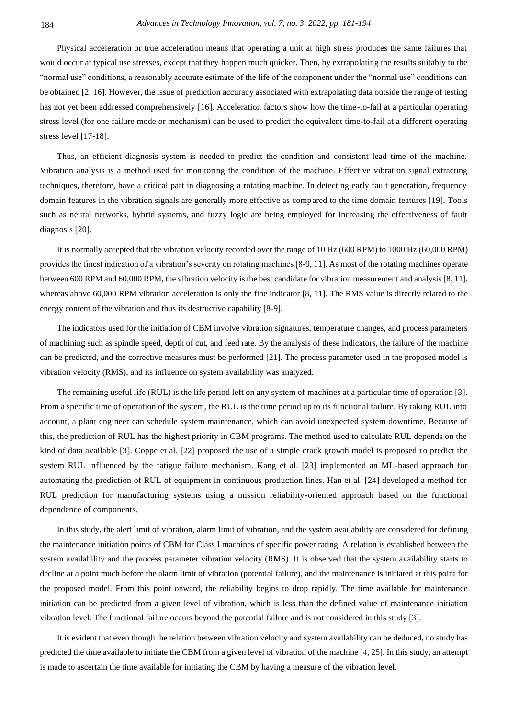Physical acceleration or true acceleration means that operating a unit at high stress produces the same failures that would occur at typical use stresses, except that they happen much quicker. Then, by extrapolating the results suitably to the "normal use" conditions, a reasonably accurate estimate of the life of the component under the "normal use" conditions can be obtained [2, 16]. However, the issue of prediction accuracy associated with extrapolating data outside the range of testing has not yet been addressed comprehensively [16]. Acceleration factors show how the time -to-fail at a particular operating stress level (for one failure mode or mechanism) can be used to predict the equivalent time-to-fail at a different operating stress level [17-18].

Thus, an efficient diagnosis system is needed to predict the condition and consistent lead time of the machine. Vibration analysis is a method used for monitoring the condition of the machine. Effective vibration signal extracting techniques, therefore, have a critical part in diagnosing a rotating machine. In detecting early fault generation, frequency domain features in the vibration signals are generally more effective as compared to the time domain features [19]. Tools such as neural networks, hybrid systems, and fuzzy logic are being employed for increasing the effectiveness of fault diagnosis [20].

It is normally accepted that the vibration velocity recorded over the range of 10 Hz (600 RPM) to 1000 Hz (60,000 RPM) provides the finest indication of a vibration's severity on rotating machines [8-9, 11]. As most of the rotating machines operate between 600 RPM and 60,000 RPM, the vibration velocity is the best candidate for vibration measurement and analysis [8, 11], whereas above 60,000 RPM vibration acceleration is only the fine indicator [8, 11]. The RMS value is directly related to the energy content of the vibration and thus its destructive capability [8-9].

The indicators used for the initiation of CBM involve vibration signatures, temperature changes, and process parameters of machining such as spindle speed, depth of cut, and feed rate. By the analysis of these indicators, the failure of the machine can be predicted, and the corrective measures must be performed [21]. The process parameter used in the proposed model is vibration velocity (RMS), and its influence on system availability was analyzed.

The remaining useful life (RUL) is the life period left on any system of machines at a particular time of operation [3]. From a specific time of operation of the system, the RUL is the time period up to its functional failure. By taking RUL into account, a plant engineer can schedule system maintenance, which can avoid unexpected system downtime. Because of this, the prediction of RUL has the highest priority in CBM programs. The method used to calculate RUL depends on the kind of data available [3]. Coppe et al. [22] proposed the use of a simple crack growth model is proposed to predict the system RUL influenced by the fatigue failure mechanism. Kang et al. [23] implemented an ML-based approach for automating the prediction of RUL of equipment in continuous production lines. Han et al. [24] developed a method for RUL prediction for manufacturing systems using a mission reliability-oriented approach based on the functional dependence of components.

In this study, the alert limit of vibration, alarm limit of vibration, and the system availability are considered for defining the maintenance initiation points of CBM for Class I machines of specific power rating. A relation is established between the system availability and the process parameter vibration velocity (RMS). It is observed that the system availability starts to decline at a point much before the alarm limit of vibration (potential failure), and the maintenance is initiated at this point for the proposed model. From this point onward, the reliability begins to drop rapidly. The time available for maintenance initiation can be predicted from a given level of vibration, which is less than the defined value of maintenance initiation vibration level. The functional failure occurs beyond the potential failure and is not considered in this study [3].

It is evident that even though the relation between vibration velocity and system availability can be deduced, no study has predicted the time available to initiate the CBM from a given level of vibration of the machine [4, 25]. In this study, an attempt is made to ascertain the time available for initiating the CBM by having a measure of the vibration level.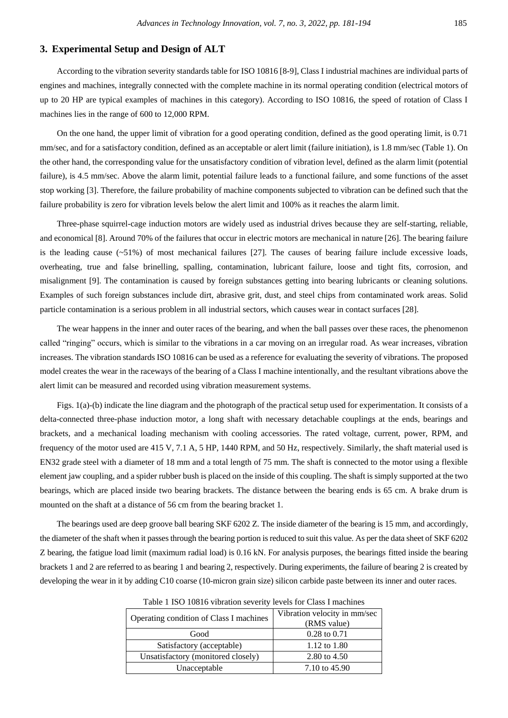## **3. Experimental Setup and Design of ALT**

According to the vibration severity standards table for ISO 10816 [8-9], Class I industrial machines are individual parts of engines and machines, integrally connected with the complete machine in its normal operating condition (electrical motors of up to 20 HP are typical examples of machines in this category). According to ISO 10816, the speed of rotation of Class I machines lies in the range of 600 to 12,000 RPM.

On the one hand, the upper limit of vibration for a good operating condition, defined as the good operating limit, is 0.71 mm/sec, and for a satisfactory condition, defined as an acceptable or alert limit (failure initiation), is 1.8 mm/sec (Table 1). On the other hand, the corresponding value for the unsatisfactory condition of vibration level, defined as the alarm limit (potential failure), is 4.5 mm/sec. Above the alarm limit, potential failure leads to a functional failure, and some functions of the asset stop working [3]. Therefore, the failure probability of machine components subjected to vibration can be defined such that the failure probability is zero for vibration levels below the alert limit and 100% as it reaches the alarm limit.

Three-phase squirrel-cage induction motors are widely used as industrial drives because they are self-starting, reliable, and economical [8]. Around 70% of the failures that occur in electric motors are mechanical in nature [26]. The bearing failure is the leading cause  $(-51\%)$  of most mechanical failures [27]. The causes of bearing failure include excessive loads, overheating, true and false brinelling, spalling, contamination, lubricant failure, loose and tight fits, corrosion, and misalignment [9]. The contamination is caused by foreign substances getting into bearing lubricants or cleaning solutions. Examples of such foreign substances include dirt, abrasive grit, dust, and steel chips from contaminated work areas. Solid particle contamination is a serious problem in all industrial sectors, which causes wear in contact surfaces [28].

The wear happens in the inner and outer races of the bearing, and when the ball passes over these races, the phenomenon called "ringing" occurs, which is similar to the vibrations in a car moving on an irregular road. As wear increases, vibration increases. The vibration standards ISO 10816 can be used as a reference for evaluating the severity of vibrations. The proposed model creates the wear in the raceways of the bearing of a Class I machine intentionally, and the resultant vibrations above the alert limit can be measured and recorded using vibration measurement systems.

Figs. 1(a)-(b) indicate the line diagram and the photograph of the practical setup used for experimentation. It consists of a delta-connected three-phase induction motor, a long shaft with necessary detachable couplings at the ends, bearings and brackets, and a mechanical loading mechanism with cooling accessories. The rated voltage, current, power, RPM, and frequency of the motor used are 415 V, 7.1 A, 5 HP, 1440 RPM, and 50 Hz, respectively. Similarly, the shaft material used is EN32 grade steel with a diameter of 18 mm and a total length of 75 mm. The shaft is connected to the motor using a flexible element jaw coupling, and a spider rubber bush is placed on the inside of this coupling. The shaft is simply supported at the two bearings, which are placed inside two bearing brackets. The distance between the bearing ends is 65 cm. A brake drum is mounted on the shaft at a distance of 56 cm from the bearing bracket 1.

The bearings used are deep groove ball bearing SKF 6202 Z. The inside diameter of the bearing is 15 mm, and accordingly, the diameter of the shaft when it passes through the bearing portion is reduced to suit this value. As per the data sheet of SKF 6202 Z bearing, the fatigue load limit (maximum radial load) is 0.16 kN. For analysis purposes, the bearings fitted inside the bearing brackets 1 and 2 are referred to as bearing 1 and bearing 2, respectively. During experiments, the failure of bearing 2 is created by developing the wear in it by adding C10 coarse (10-micron grain size) silicon carbide paste between its inner and outer races.

| Operating condition of Class I machines | Vibration velocity in mm/sec<br>(RMS value) |  |
|-----------------------------------------|---------------------------------------------|--|
| Good                                    | $0.28$ to $0.71$                            |  |
|                                         |                                             |  |
| Satisfactory (acceptable)               | 1.12 to 1.80                                |  |
| Unsatisfactory (monitored closely)      | 2.80 to 4.50                                |  |
| Unacceptable                            | 7.10 to 45.90                               |  |

Table 1 ISO 10816 vibration severity levels for Class I machines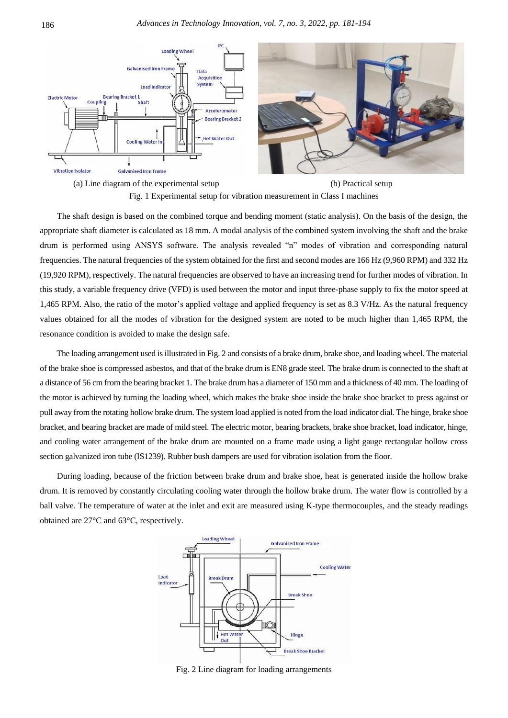



Fig. 1 Experimental setup for vibration measurement in Class I machines

The shaft design is based on the combined torque and bending moment (static analysis). On the basis of the design, the appropriate shaft diameter is calculated as 18 mm. A modal analysis of the combined system involving the shaft and the brake drum is performed using ANSYS software. The analysis revealed "n" modes of vibration and corresponding natural frequencies. The natural frequencies of the system obtained for the first and second modes are 166 Hz (9,960 RPM) and 332 Hz (19,920 RPM), respectively. The natural frequencies are observed to have an increasing trend for further modes of vibration. In this study, a variable frequency drive (VFD) is used between the motor and input three-phase supply to fix the motor speed at 1,465 RPM. Also, the ratio of the motor's applied voltage and applied frequency is set as 8.3 V/Hz. As the natural frequency values obtained for all the modes of vibration for the designed system are noted to be much higher than 1,465 RPM, the resonance condition is avoided to make the design safe.

The loading arrangement used is illustrated in Fig. 2 and consists of a brake drum, brake shoe, and loading wheel. The material of the brake shoe is compressed asbestos, and that of the brake drum is EN8 grade steel. The brake drum is connected to the shaft at a distance of 56 cm from the bearing bracket 1. The brake drum has a diameter of 150 mm and a thickness of 40 mm. The loading of the motor is achieved by turning the loading wheel, which makes the brake shoe inside the brake shoe bracket to press against or pull away from the rotating hollow brake drum. The system load applied is noted from the load indicator dial. The hinge, brake shoe bracket, and bearing bracket are made of mild steel. The electric motor, bearing brackets, brake shoe bracket, load indicator, hinge, and cooling water arrangement of the brake drum are mounted on a frame made using a light gauge rectangular hollow cross section galvanized iron tube (IS1239). Rubber bush dampers are used for vibration isolation from the floor.

During loading, because of the friction between brake drum and brake shoe, heat is generated inside the hollow brake drum. It is removed by constantly circulating cooling water through the hollow brake drum. The water flow is controlled by a ball valve. The temperature of water at the inlet and exit are measured using K-type thermocouples, and the steady readings obtained are 27°C and 63°C, respectively.



Fig. 2 Line diagram for loading arrangements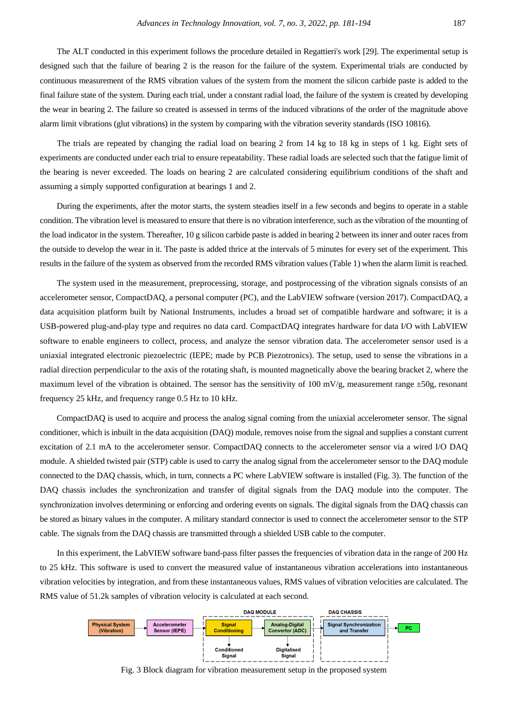The ALT conducted in this experiment follows the procedure detailed in Regattieri's work [29]. The experimental setup is designed such that the failure of bearing 2 is the reason for the failure of the system. Experimental trials are conducted by continuous measurement of the RMS vibration values of the system from the moment the silicon carbide paste is added to the final failure state of the system. During each trial, under a constant radial load, the failure of the system is created by developing the wear in bearing 2. The failure so created is assessed in terms of the induced vibrations of the order of the magnitude above alarm limit vibrations (glut vibrations) in the system by comparing with the vibration severity standards (ISO 10816).

The trials are repeated by changing the radial load on bearing 2 from 14 kg to 18 kg in steps of 1 kg. Eight sets of experiments are conducted under each trial to ensure repeatability. These radial loads are selected such that the fatigue limit of the bearing is never exceeded. The loads on bearing 2 are calculated considering equilibrium conditions of the shaft and assuming a simply supported configuration at bearings 1 and 2.

During the experiments, after the motor starts, the system steadies itself in a few seconds and begins to operate in a stable condition. The vibration level is measured to ensure that there is no vibration interference, such as the vibration of the mounting of the load indicator in the system. Thereafter, 10 g silicon carbide paste is added in bearing 2 between its inner and outer races from the outside to develop the wear in it. The paste is added thrice at the intervals of 5 minutes for every set of the experiment. This results in the failure of the system as observed from the recorded RMS vibration values (Table 1) when the alarm limit is reached.

The system used in the measurement, preprocessing, storage, and postprocessing of the vibration signals consists of an accelerometer sensor, CompactDAQ, a personal computer (PC), and the LabVIEW software (version 2017). CompactDAQ, a data acquisition platform built by National Instruments, includes a broad set of compatible hardware and software; it is a USB-powered plug-and-play type and requires no data card. CompactDAQ integrates hardware for data I/O with LabVIEW software to enable engineers to collect, process, and analyze the sensor vibration data. The accelerometer sensor used is a uniaxial integrated electronic piezoelectric (IEPE; made by PCB Piezotronics). The setup, used to sense the vibrations in a radial direction perpendicular to the axis of the rotating shaft, is mounted magnetically above the bearing bracket 2, where the maximum level of the vibration is obtained. The sensor has the sensitivity of 100 mV/g, measurement range  $\pm 50$ g, resonant frequency 25 kHz, and frequency range 0.5 Hz to 10 kHz.

CompactDAQ is used to acquire and process the analog signal coming from the uniaxial accelerometer sensor. The signal conditioner, which is inbuilt in the data acquisition (DAQ) module, removes noise from the signal and supplies a constant current excitation of 2.1 mA to the accelerometer sensor. CompactDAQ connects to the accelerometer sensor via a wired I/O DAQ module. A shielded twisted pair (STP) cable is used to carry the analog signal from the accelerometer sensor to the DAQ module connected to the DAQ chassis, which, in turn, connects a PC where LabVIEW software is installed (Fig. 3). The function of the DAQ chassis includes the synchronization and transfer of digital signals from the DAQ module into the computer. The synchronization involves determining or enforcing and ordering events on signals. The digital signals from the DAQ chassis can be stored as binary values in the computer. A military standard connector is used to connect the accelerometer sensor to the STP cable. The signals from the DAQ chassis are transmitted through a shielded USB cable to the computer.

In this experiment, the LabVIEW software band-pass filter passes the frequencies of vibration data in the range of 200 Hz to 25 kHz. This software is used to convert the measured value of instantaneous vibration accelerations into instantaneous vibration velocities by integration, and from these instantaneous values, RMS values of vibration velocities are calculated. The RMS value of 51.2k samples of vibration velocity is calculated at each second.



Fig. 3 Block diagram for vibration measurement setup in the proposed system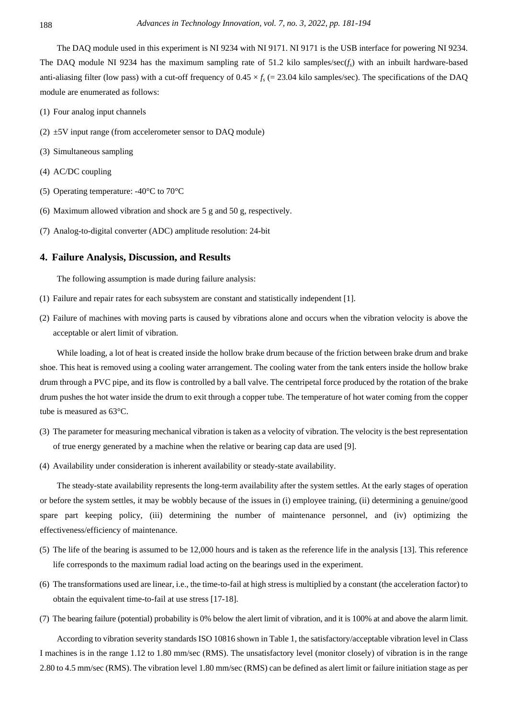The DAQ module used in this experiment is NI 9234 with NI 9171. NI 9171 is the USB interface for powering NI 9234. The DAQ module NI 9234 has the maximum sampling rate of 51.2 kilo samples/sec(*fs*) with an inbuilt hardware-based anti-aliasing filter (low pass) with a cut-off frequency of  $0.45 \times f_s$  (= 23.04 kilo samples/sec). The specifications of the DAQ module are enumerated as follows:

- (1) Four analog input channels
- (2)  $\pm$ 5V input range (from accelerometer sensor to DAQ module)
- (3) Simultaneous sampling
- (4) AC/DC coupling
- (5) Operating temperature: -40°C to 70°C
- (6) Maximum allowed vibration and shock are 5 g and 50 g, respectively.
- (7) Analog-to-digital converter (ADC) amplitude resolution: 24-bit

## **4. Failure Analysis, Discussion, and Results**

The following assumption is made during failure analysis:

- (1) Failure and repair rates for each subsystem are constant and statistically independent [1].
- (2) Failure of machines with moving parts is caused by vibrations alone and occurs when the vibration velocity is above the acceptable or alert limit of vibration.

While loading, a lot of heat is created inside the hollow brake drum because of the friction between brake drum and brake shoe. This heat is removed using a cooling water arrangement. The cooling water from the tank enters inside the hollow brake drum through a PVC pipe, and its flow is controlled by a ball valve. The centripetal force produced by the rotation of the brake drum pushes the hot water inside the drum to exit through a copper tube. The temperature of hot water coming from the copper tube is measured as 63°C.

- (3) The parameter for measuring mechanical vibration is taken as a velocity of vibration. The velocity is the best representation of true energy generated by a machine when the relative or bearing cap data are used [9].
- (4) Availability under consideration is inherent availability or steady-state availability.

The steady-state availability represents the long-term availability after the system settles. At the early stages of operation or before the system settles, it may be wobbly because of the issues in (i) employee training, (ii) determining a genuine/good spare part keeping policy, (iii) determining the number of maintenance personnel, and (iv) optimizing the effectiveness/efficiency of maintenance.

- (5) The life of the bearing is assumed to be 12,000 hours and is taken as the reference life in the analysis [13]. This reference life corresponds to the maximum radial load acting on the bearings used in the experiment.
- (6) The transformations used are linear, i.e., the time-to-fail at high stress is multiplied by a constant (the acceleration factor) to obtain the equivalent time-to-fail at use stress [17-18].
- (7) The bearing failure (potential) probability is 0% below the alert limit of vibration, and it is 100% at and above the alarm limit.

According to vibration severity standards ISO 10816 shown in Table 1, the satisfactory/acceptable vibration level in Class I machines is in the range 1.12 to 1.80 mm/sec (RMS). The unsatisfactory level (monitor closely) of vibration is in the range 2.80 to 4.5 mm/sec (RMS). The vibration level 1.80 mm/sec (RMS) can be defined as alert limit or failure initiation stage as per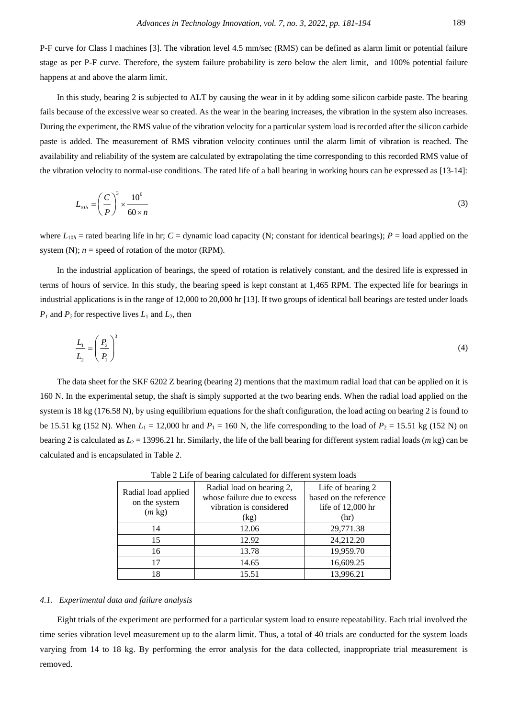P-F curve for Class I machines [3]. The vibration level 4.5 mm/sec (RMS) can be defined as alarm limit or potential failure stage as per P-F curve. Therefore, the system failure probability is zero below the alert limit, and 100% potential failure happens at and above the alarm limit.

In this study, bearing 2 is subjected to ALT by causing the wear in it by adding some silicon carbide paste. The bearing fails because of the excessive wear so created. As the wear in the bearing increases, the vibration in the system also increases. During the experiment, the RMS value of the vibration velocity for a particular system load is recorded after the silicon carbide paste is added. The measurement of RMS vibration velocity continues until the alarm limit of vibration is reached. The availability and reliability of the system are calculated by extrapolating the time corresponding to this recorded RMS value of the vibration velocity to normal-use conditions. The rated life of a ball bearing in working hours can be expressed as [13-14]:

$$
L_{10h} = \left(\frac{C}{P}\right)^3 \times \frac{10^6}{60 \times n} \tag{3}
$$

where  $L_{10h}$  = rated bearing life in hr; *C* = dynamic load capacity (N; constant for identical bearings); *P* = load applied on the system (N);  $n =$  speed of rotation of the motor (RPM).

In the industrial application of bearings, the speed of rotation is relatively constant, and the desired life is expressed in terms of hours of service. In this study, the bearing speed is kept constant at 1,465 RPM. The expected life for bearings in industrial applications is in the range of 12,000 to 20,000 hr [13]. If two groups of identical ball bearings are tested under loads  $P_1$  and  $P_2$  for respective lives  $L_1$  and  $L_2$ , then

$$
\frac{L_1}{L_2} = \left(\frac{P_2}{P_1}\right)^3\tag{4}
$$

The data sheet for the SKF 6202 Z bearing (bearing 2) mentions that the maximum radial load that can be applied on it is 160 N. In the experimental setup, the shaft is simply supported at the two bearing ends. When the radial load applied on the system is 18 kg (176.58 N), by using equilibrium equations for the shaft configuration, the load acting on bearing 2 is found to be 15.51 kg (152 N). When  $L_1 = 12,000$  hr and  $P_1 = 160$  N, the life corresponding to the load of  $P_2 = 15.51$  kg (152 N) on bearing 2 is calculated as  $L_2$  = 13996.21 hr. Similarly, the life of the ball bearing for different system radial loads (*m* kg) can be calculated and is encapsulated in Table 2.

| Radial load applied<br>on the system<br>$(m \text{ kg})$ | Radial load on bearing 2,<br>whose failure due to excess<br>vibration is considered<br>(kg) | Life of bearing 2<br>based on the reference<br>life of $12,000$ hr<br>(hr) |
|----------------------------------------------------------|---------------------------------------------------------------------------------------------|----------------------------------------------------------------------------|
| 14                                                       | 12.06                                                                                       | 29,771.38                                                                  |
| 15                                                       | 12.92                                                                                       | 24,212.20                                                                  |
| 16                                                       | 13.78                                                                                       | 19,959.70                                                                  |
| 17                                                       | 14.65                                                                                       | 16,609.25                                                                  |
| 18                                                       | 15.51                                                                                       | 13,996.21                                                                  |

Table 2 Life of bearing calculated for different system loads

#### *4.1. Experimental data and failure analysis*

Eight trials of the experiment are performed for a particular system load to ensure repeatability. Each trial involved the time series vibration level measurement up to the alarm limit. Thus, a total of 40 trials are conducted for the system loads varying from 14 to 18 kg. By performing the error analysis for the data collected, inappropriate trial measurement is removed.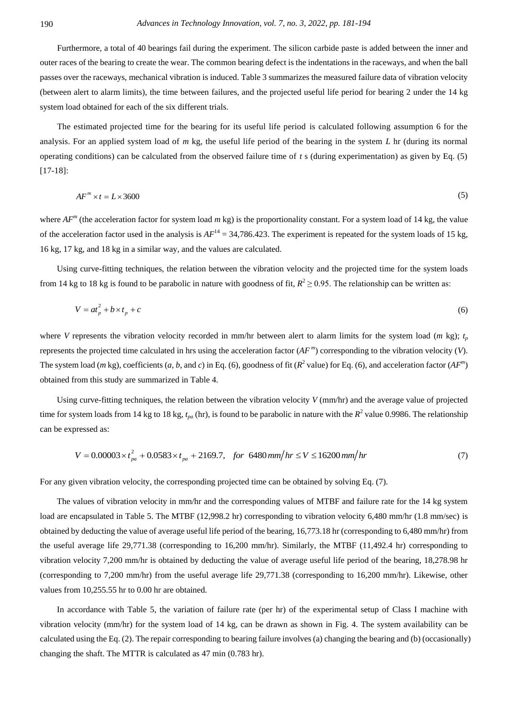Furthermore, a total of 40 bearings fail during the experiment. The silicon carbide paste is added between the inner and outer races of the bearing to create the wear. The common bearing defect is the indentations in the raceways, and when the ball passes over the raceways, mechanical vibration is induced. Table 3 summarizes the measured failure data of vibration velocity (between alert to alarm limits), the time between failures, and the projected useful life period for bearing 2 under the 14 kg system load obtained for each of the six different trials.

The estimated projected time for the bearing for its useful life period is calculated following assumption 6 for the analysis. For an applied system load of *m* kg, the useful life period of the bearing in the system *L* hr (during its normal operating conditions) can be calculated from the observed failure time of *t* s (during experimentation) as given by Eq. (5) [17-18]:

$$
AF^m \times t = L \times 3600 \tag{5}
$$

where  $AF^m$  (the acceleration factor for system load  $m$  kg) is the proportionality constant. For a system load of 14 kg, the value of the acceleration factor used in the analysis is  $AF^{14} = 34,786,423$ . The experiment is repeated for the system loads of 15 kg, 16 kg, 17 kg, and 18 kg in a similar way, and the values are calculated.

Using curve-fitting techniques, the relation between the vibration velocity and the projected time for the system loads from 14 kg to 18 kg is found to be parabolic in nature with goodness of fit,  $R^2 \ge 0.95$ . The relationship can be written as:

$$
V = at_p^2 + b \times t_p + c \tag{6}
$$

where *V* represents the vibration velocity recorded in mm/hr between alert to alarm limits for the system load (*m* kg);  $t_p$ represents the projected time calculated in hrs using the acceleration factor (*AF <sup>m</sup>* ) corresponding to the vibration velocity (*V*). The system load (*m* kg), coefficients (*a*, *b*, and *c*) in Eq. (6), goodness of fit ( $R^2$  value) for Eq. (6), and acceleration factor ( $AF^n$ ) obtained from this study are summarized in Table 4.

Using curve-fitting techniques, the relation between the vibration velocity *V* (mm/hr) and the average value of projected time for system loads from 14 kg to 18 kg,  $t_{pa}$  (hr), is found to be parabolic in nature with the  $R^2$  value 0.9986. The relationship can be expressed as:

$$
V = 0.00003 \times t_{pa}^{2} + 0.0583 \times t_{pa} + 2169.7, \quad \text{for } 6480 \, \text{mm/hr} \le V \le 16200 \, \text{mm/hr} \tag{7}
$$

For any given vibration velocity, the corresponding projected time can be obtained by solving Eq. (7).

The values of vibration velocity in mm/hr and the corresponding values of MTBF and failure rate for the 14 kg system load are encapsulated in Table 5. The MTBF (12,998.2 hr) corresponding to vibration velocity 6,480 mm/hr (1.8 mm/sec) is obtained by deducting the value of average useful life period of the bearing, 16,773.18 hr (corresponding to 6,480 mm/hr) from the useful average life 29,771.38 (corresponding to 16,200 mm/hr). Similarly, the MTBF (11,492.4 hr) corresponding to vibration velocity 7,200 mm/hr is obtained by deducting the value of average useful life period of the bearing, 18,278.98 hr (corresponding to 7,200 mm/hr) from the useful average life 29,771.38 (corresponding to 16,200 mm/hr). Likewise, other values from 10,255.55 hr to 0.00 hr are obtained.

In accordance with Table 5, the variation of failure rate (per hr) of the experimental setup of Class I machine with vibration velocity (mm/hr) for the system load of 14 kg, can be drawn as shown in Fig. 4. The system availability can be calculated using the Eq. (2). The repair corresponding to bearing failure involves (a) changing the bearing and (b) (occasionally) changing the shaft. The MTTR is calculated as 47 min (0.783 hr).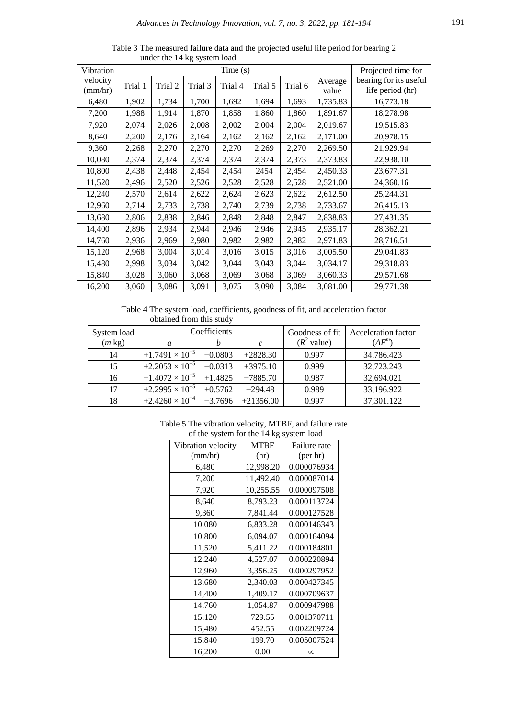| Vibration           | Time(s) |         |         |         |         |         | Projected time for |                                            |
|---------------------|---------|---------|---------|---------|---------|---------|--------------------|--------------------------------------------|
| velocity<br>(mm/hr) | Trial 1 | Trial 2 | Trial 3 | Trial 4 | Trial 5 | Trial 6 | Average<br>value   | bearing for its useful<br>life period (hr) |
| 6,480               | 1,902   | 1,734   | 1,700   | 1,692   | 1,694   | 1,693   | 1,735.83           | 16,773.18                                  |
| 7,200               | 1,988   | 1,914   | 1,870   | 1,858   | 1,860   | 1,860   | 1,891.67           | 18,278.98                                  |
| 7,920               | 2,074   | 2,026   | 2,008   | 2,002   | 2,004   | 2,004   | 2,019.67           | 19,515.83                                  |
| 8,640               | 2,200   | 2,176   | 2,164   | 2,162   | 2,162   | 2,162   | 2,171.00           | 20,978.15                                  |
| 9,360               | 2,268   | 2,270   | 2,270   | 2,270   | 2,269   | 2,270   | 2,269.50           | 21,929.94                                  |
| 10,080              | 2,374   | 2,374   | 2,374   | 2,374   | 2,374   | 2,373   | 2,373.83           | 22,938.10                                  |
| 10,800              | 2,438   | 2,448   | 2,454   | 2,454   | 2454    | 2,454   | 2,450.33           | 23,677.31                                  |
| 11,520              | 2,496   | 2,520   | 2,526   | 2,528   | 2,528   | 2,528   | 2,521.00           | 24,360.16                                  |
| 12,240              | 2,570   | 2,614   | 2,622   | 2,624   | 2,623   | 2,622   | 2,612.50           | 25,244.31                                  |
| 12,960              | 2,714   | 2,733   | 2,738   | 2,740   | 2,739   | 2,738   | 2,733.67           | 26,415.13                                  |
| 13,680              | 2,806   | 2,838   | 2,846   | 2,848   | 2,848   | 2,847   | 2,838.83           | 27,431.35                                  |
| 14,400              | 2,896   | 2,934   | 2,944   | 2,946   | 2,946   | 2,945   | 2,935.17           | 28,362.21                                  |
| 14,760              | 2,936   | 2,969   | 2,980   | 2,982   | 2,982   | 2,982   | 2,971.83           | 28,716.51                                  |
| 15,120              | 2,968   | 3,004   | 3,014   | 3,016   | 3,015   | 3,016   | 3,005.50           | 29,041.83                                  |
| 15,480              | 2,998   | 3,034   | 3,042   | 3,044   | 3,043   | 3,044   | 3,034.17           | 29,318.83                                  |
| 15,840              | 3,028   | 3,060   | 3,068   | 3,069   | 3,068   | 3,069   | 3,060.33           | 29,571.68                                  |
| 16,200              | 3,060   | 3,086   | 3,091   | 3,075   | 3,090   | 3,084   | 3,081.00           | 29,771.38                                  |

Table 3 The measured failure data and the projected useful life period for bearing 2 under the 14 kg system load

Table 4 The system load, coefficients, goodness of fit, and acceleration factor obtained from this study

| System load      | Coefficients             |           |               | Goodness of fit       | Acceleration factor |
|------------------|--------------------------|-----------|---------------|-----------------------|---------------------|
| $(m \text{ kg})$ | a                        |           | $\mathcal{C}$ | $(R^2 \text{ value})$ | $(AF^m)$            |
| 14               | $+1.7491 \times 10^{-5}$ | $-0.0803$ | $+2828.30$    | 0.997                 | 34,786.423          |
| 15               | $+2.2053 \times 10^{-5}$ | $-0.0313$ | $+3975.10$    | 0.999                 | 32,723.243          |
| 16               | $-1.4072 \times 10^{-5}$ | $+1.4825$ | $-7885.70$    | 0.987                 | 32,694.021          |
| 17               | $+2.2995 \times 10^{-5}$ | $+0.5762$ | $-294.48$     | 0.989                 | 33,196.922          |
| 18               | $+2.4260 \times 10^{-4}$ | $-3.7696$ | $+21356.00$   | 0.997                 | 37,301.122          |

| Table 5 The vibration velocity, MTBF, and failure rate |
|--------------------------------------------------------|
| of the system for the 14 kg system load                |

| $\frac{1}{2}$ and $\frac{1}{2}$ and $\frac{1}{2}$ and $\frac{1}{2}$ and $\frac{1}{2}$ and $\frac{1}{2}$ are $\frac{1}{2}$ |              |  |  |  |  |
|---------------------------------------------------------------------------------------------------------------------------|--------------|--|--|--|--|
| <b>MTBF</b>                                                                                                               | Failure rate |  |  |  |  |
| (hr)                                                                                                                      | (per hr)     |  |  |  |  |
| 12,998.20                                                                                                                 | 0.000076934  |  |  |  |  |
| 11,492.40                                                                                                                 | 0.000087014  |  |  |  |  |
| 10,255.55                                                                                                                 | 0.000097508  |  |  |  |  |
| 8,793.23                                                                                                                  | 0.000113724  |  |  |  |  |
| 7,841.44                                                                                                                  | 0.000127528  |  |  |  |  |
| 6,833.28                                                                                                                  | 0.000146343  |  |  |  |  |
| 6,094.07                                                                                                                  | 0.000164094  |  |  |  |  |
| 5,411.22                                                                                                                  | 0.000184801  |  |  |  |  |
| 4,527.07                                                                                                                  | 0.000220894  |  |  |  |  |
| 3,356.25                                                                                                                  | 0.000297952  |  |  |  |  |
| 2,340.03                                                                                                                  | 0.000427345  |  |  |  |  |
| 1,409.17                                                                                                                  | 0.000709637  |  |  |  |  |
| 1,054.87                                                                                                                  | 0.000947988  |  |  |  |  |
| 729.55                                                                                                                    | 0.001370711  |  |  |  |  |
| 452.55                                                                                                                    | 0.002209724  |  |  |  |  |
| 199.70                                                                                                                    | 0.005007524  |  |  |  |  |
| 0.00                                                                                                                      | $\infty$     |  |  |  |  |
|                                                                                                                           |              |  |  |  |  |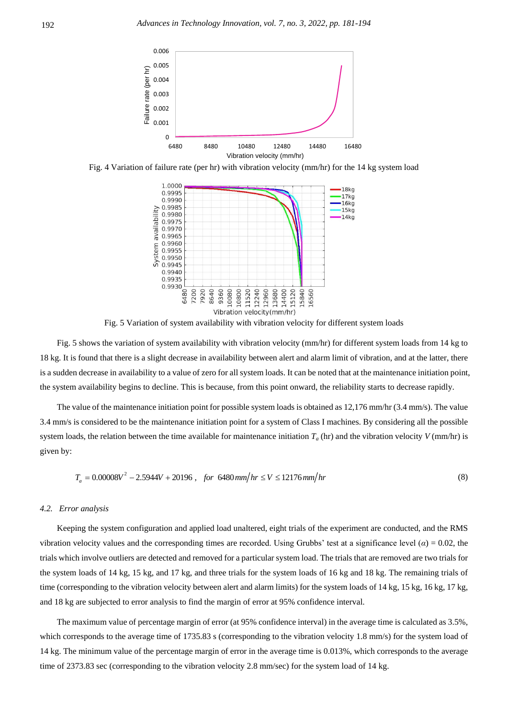

Fig. 4 Variation of failure rate (per hr) with vibration velocity (mm/hr) for the 14 kg system load



Fig. 5 Variation of system availability with vibration velocity for different system loads

Fig. 5 shows the variation of system availability with vibration velocity (mm/hr) for different system loads from 14 kg to 18 kg. It is found that there is a slight decrease in availability between alert and alarm limit of vibration, and at the latter, there is a sudden decrease in availability to a value of zero for all system loads. It can be noted that at the maintenance initiation point, the system availability begins to decline. This is because, from this point onward, the reliability starts to decrease rapidly.

The value of the maintenance initiation point for possible system loads is obtained as 12,176 mm/hr (3.4 mm/s). The value 3.4 mm/s is considered to be the maintenance initiation point for a system of Class I machines. By considering all the possible system loads, the relation between the time available for maintenance initiation  $T_a$  (hr) and the vibration velocity  $V$  (mm/hr) is given by:

$$
T_a = 0.00008V^2 - 2.5944V + 20196
$$
, for 6480 mm/hr  $\leq V \leq 12176$  mm/hr (8)

#### *4.2. Error analysis*

Keeping the system configuration and applied load unaltered, eight trials of the experiment are conducted, and the RMS vibration velocity values and the corresponding times are recorded. Using Grubbs' test at a significance level  $(\alpha) = 0.02$ , the trials which involve outliers are detected and removed for a particular system load. The trials that are removed are two trials for the system loads of 14 kg, 15 kg, and 17 kg, and three trials for the system loads of 16 kg and 18 kg. The remaining trials of time (corresponding to the vibration velocity between alert and alarm limits) for the system loads of 14 kg, 15 kg, 16 kg, 17 kg, and 18 kg are subjected to error analysis to find the margin of error at 95% confidence interval.

The maximum value of percentage margin of error (at 95% confidence interval) in the average time is calculated as 3.5%, which corresponds to the average time of 1735.83 s (corresponding to the vibration velocity 1.8 mm/s) for the system load of 14 kg. The minimum value of the percentage margin of error in the average time is 0.013%, which corresponds to the average time of 2373.83 sec (corresponding to the vibration velocity 2.8 mm/sec) for the system load of 14 kg.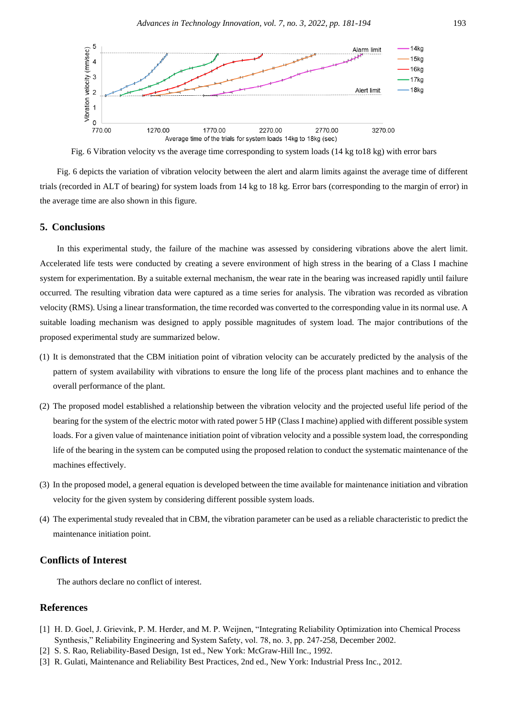

Fig. 6 Vibration velocity vs the average time corresponding to system loads (14 kg to18 kg) with error bars

Fig. 6 depicts the variation of vibration velocity between the alert and alarm limits against the average time of different trials (recorded in ALT of bearing) for system loads from 14 kg to 18 kg. Error bars (corresponding to the margin of error) in the average time are also shown in this figure.

#### **5. Conclusions**

In this experimental study, the failure of the machine was assessed by considering vibrations above the alert limit. Accelerated life tests were conducted by creating a severe environment of high stress in the bearing of a Class I machine system for experimentation. By a suitable external mechanism, the wear rate in the bearing was increased rapidly until failure occurred. The resulting vibration data were captured as a time series for analysis. The vibration was recorded as vibration velocity (RMS). Using a linear transformation, the time recorded was converted to the corresponding value in its normal use. A suitable loading mechanism was designed to apply possible magnitudes of system load. The major contributions of the proposed experimental study are summarized below.

- (1) It is demonstrated that the CBM initiation point of vibration velocity can be accurately predicted by the analysis of the pattern of system availability with vibrations to ensure the long life of the process plant machines and to enhance the overall performance of the plant.
- (2) The proposed model established a relationship between the vibration velocity and the projected useful life period of the bearing for the system of the electric motor with rated power 5 HP (Class I machine) applied with different possible system loads. For a given value of maintenance initiation point of vibration velocity and a possible system load, the corresponding life of the bearing in the system can be computed using the proposed relation to conduct the systematic maintenance of the machines effectively.
- (3) In the proposed model, a general equation is developed between the time available for maintenance initiation and vibration velocity for the given system by considering different possible system loads.
- (4) The experimental study revealed that in CBM, the vibration parameter can be used as a reliable characteristic to predict the maintenance initiation point.

# **Conflicts of Interest**

The authors declare no conflict of interest.

## **References**

- [1] H. D. Goel, J. Grievink, P. M. Herder, and M. P. Weijnen, "Integrating Reliability Optimization into Chemical Process Synthesis," Reliability Engineering and System Safety, vol. 78, no. 3, pp. 247-258, December 2002.
- [2] S. S. Rao, Reliability-Based Design, 1st ed., New York: McGraw-Hill Inc., 1992.
- [3] R. Gulati, Maintenance and Reliability Best Practices, 2nd ed., New York: Industrial Press Inc., 2012.